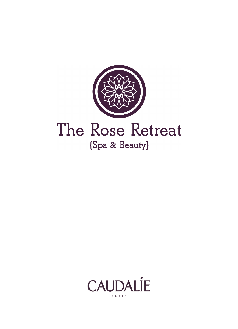

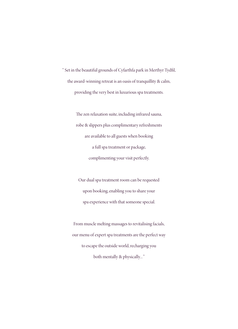" Set in the beautiful grounds of Cyfarthfa park in Merthyr Tydfil, the award-winning retreat is an oasis of tranquillity & calm, providing the very best in luxurious spa treatments.

> The zen relaxation suite, including infrared sauna, robe & slippers plus complimentary refreshments are available to all guests when booking a full spa treatment or package, complimenting your visit perfectly.

Our dual spa treatment room can be requested upon booking, enabling you to share your spa experience with that someone special.

From muscle melting massages to revitalising facials, our menu of expert spa treatments are the perfect way to escape the outside world, recharging you both mentally & physically... "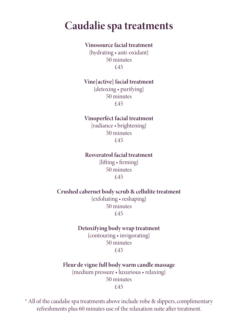### **Caudalie spa treatments**

#### **Vinosource facial treatment**

{hydrating • anti-oxidant} 50 minutes £45

#### **Vine[active] facial treatment**

{detoxing • purifying} 50 minutes £45

#### **Vinoperféct facial treatment**

{radiance • brightening} 50 minutes £45

#### **Resveratrol facial treatment**

 $\{$ lifting • firming $\}$ 50 minutes £45

#### **Crushed cabernet body scrub & cellulite treatment**

{exfoliating • reshaping} 50 minutes £45

#### **Detoxifying body wrap treatment**

{contouring • invigorating} 50 minutes £45

#### **Fleur de vigne full body warm candle massage** {medium pressure • luxurious • relaxing} 50 minutes

#### £45

\* All of the caudalie spa treatments above include robe & slippers, complimentary refreshments plus 60 minutes use of the relaxation suite after treatment.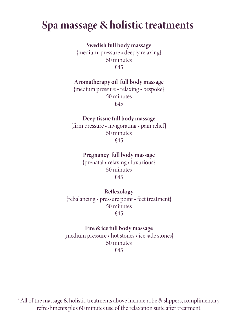### **Spa massage & holistic treatments**

**Swedish full body massage**

{medium pressure • deeply relaxing} 50 minutes £45

#### **Aromatherapy oil full body massage**

{medium pressure • relaxing • bespoke} 50 minutes £45

#### **Deep tissue full body massage**

{firm pressure • invigorating • pain relief} 50 minutes £45

#### **Pregnancy full body massage**

{prenatal • relaxing • luxurious} 50 minutes £45

#### **Reflexology**

{rebalancing • pressure point • feet treatment} 50 minutes £45

#### **Fire & ice full body massage**

{medium pressure • hot stones • ice jade stones} 50 minutes £45

\*All of the massage & holistic treatments above include robe & slippers, complimentary refreshments plus 60 minutes use of the relaxation suite after treatment.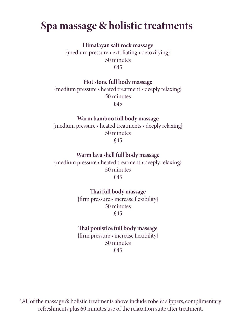### **Spa massage & holistic treatments**

**Himalayan salt rock massage** {medium pressure • exfoliating • detoxifying} 50 minutes £45

**Hot stone full body massage**

{medium pressure • heated treatment • deeply relaxing} 50 minutes £45

#### **Warm bamboo full body massage**

{medium pressure • heated treatments • deeply relaxing} 50 minutes £45

**Warm lava shell full body massage**

{medium pressure • heated treatment • deeply relaxing} 50 minutes £45

Thai full body massage

{firm pressure • increase flexibility} 50 minutes £45

#### **ai poulstice full body massage**

{firm pressure • increase flexibility} 50 minutes £45

\*All of the massage & holistic treatments above include robe & slippers, complimentary refreshments plus 60 minutes use of the relaxation suite after treatment.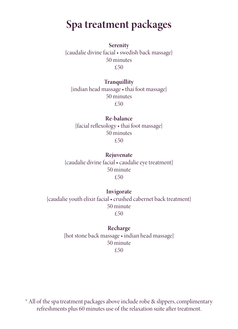# **Spa treatment packages**

**Serenity** {caudalie divine facial • swedish back massage} 50 minutes £50

#### **Tranquillity**

{indian head massage • thai foot massage} 50 minutes £50

#### **Re-balance**

{facial reflexology • thai foot massage} 50 minutes £50

**Rejuvenate** {caudalie divine facial • caudalie eye treatment} 50 minute £50

#### **Invigorate**

{caudalie youth elixir facial • crushed cabernet back treatment} 50 minute £50

### **Recharge**

{hot stone back massage • indian head massage} 50 minute £50

\* All of the spa treatment packages above include robe & slippers, complimentary refreshments plus 60 minutes use of the relaxation suite after treatment.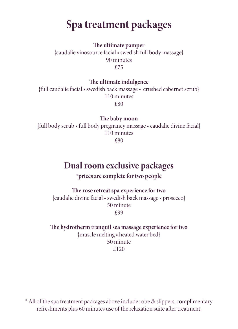# **Spa treatment packages**

**e ultimate pamper** {caudalie vinosource facial • swedish full body massage} 90 minutes £75

**e ultimate indulgence**

{full caudalie facial • swedish back massage • crushed cabernet scrub} 110 minutes £80

The baby moon

{full body scrub • full body pregnancy massage • caudalie divine facial} 110 minutes £80

### **Dual room exclusive packages**

**\*prices are complete for two people**

**e rose retreat spa experience for two** {caudalie divine facial • swedish back massage • prosecco} 50 minute £99

**e hydrotherm tranquil sea massage experience for two** {muscle melting • heated water bed} 50 minute £120

\* All of the spa treatment packages above include robe & slippers, complimentary refreshments plus 60 minutes use of the relaxation suite after treatment.